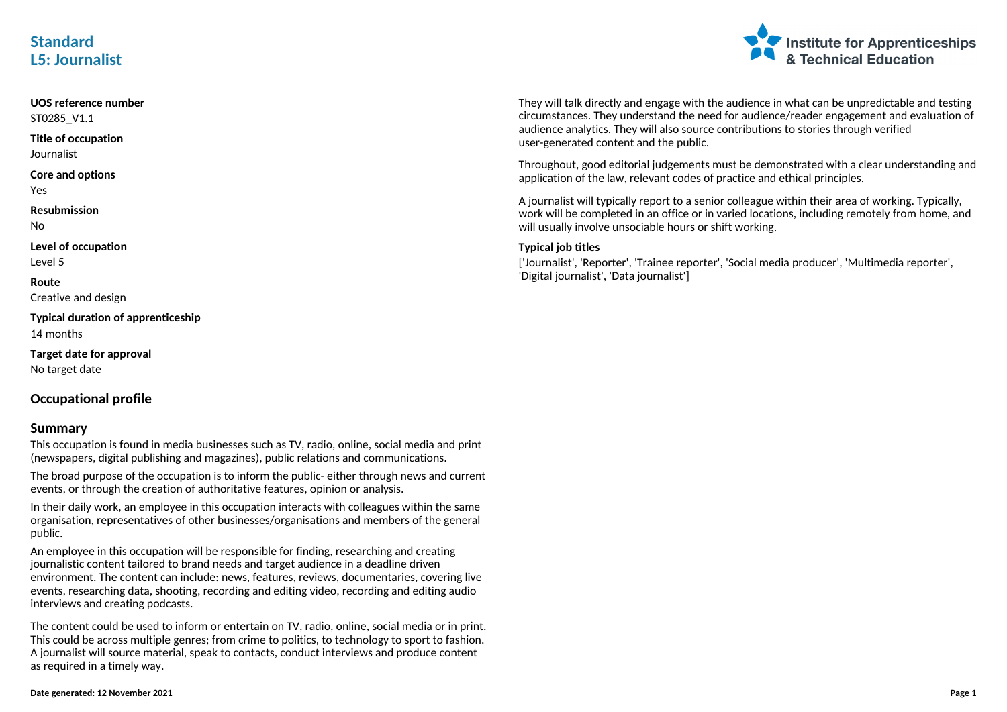## **Standard L5: Journalist**



**UOS reference number** ST0285\_V1.1 **Title of occupation** Journalist **Core and options** Yes **Resubmission** No **Level of occupation** Level 5 **Route** Creative and design **Typical duration of apprenticeship** 14 months **Target date for approval** No target date **Occupational profile**

#### **Summary**

This occupation is found in media businesses such as TV, radio, online, social media and print (newspapers, digital publishing and magazines), public relations and communications.

The broad purpose of the occupation is to inform the public- either through news and current events, or through the creation of authoritative features, opinion or analysis.

In their daily work, an employee in this occupation interacts with colleagues within the same organisation, representatives of other businesses/organisations and members of the general public.

An employee in this occupation will be responsible for finding, researching and creating journalistic content tailored to brand needs and target audience in a deadline driven environment. The content can include: news, features, reviews, documentaries, covering live events, researching data, shooting, recording and editing video, recording and editing audio interviews and creating podcasts.

The content could be used to inform or entertain on TV, radio, online, social media or in print. This could be across multiple genres; from crime to politics, to technology to sport to fashion. A journalist will source material, speak to contacts, conduct interviews and produce content as required in a timely way.

#### They will talk directly and engage with the audience in what can be unpredictable and testing circumstances. They understand the need for audience/reader engagement and evaluation of audience analytics. They will also source contributions to stories through verified user-generated content and the public.

Throughout, good editorial judgements must be demonstrated with a clear understanding and application of the law, relevant codes of practice and ethical principles.

A journalist will typically report to a senior colleague within their area of working. Typically, work will be completed in an office or in varied locations, including remotely from home, and will usually involve unsociable hours or shift working.

### **Typical job titles**

['Journalist', 'Reporter', 'Trainee reporter', 'Social media producer', 'Multimedia reporter', 'Digital journalist', 'Data journalist']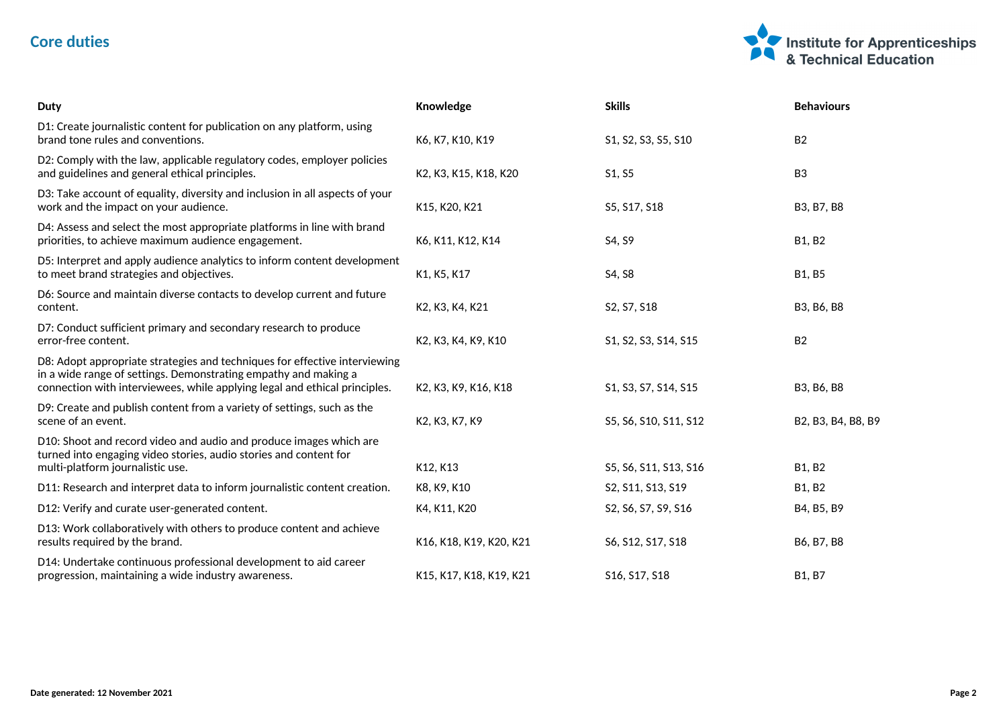# **Core duties**



| <b>Duty</b>                                                                                                                                                                                                                 | Knowledge               | <b>Skills</b>         | <b>Behaviours</b>  |
|-----------------------------------------------------------------------------------------------------------------------------------------------------------------------------------------------------------------------------|-------------------------|-----------------------|--------------------|
| D1: Create journalistic content for publication on any platform, using<br>brand tone rules and conventions.                                                                                                                 | K6, K7, K10, K19        | S1, S2, S3, S5, S10   | <b>B2</b>          |
| D2: Comply with the law, applicable regulatory codes, employer policies<br>and guidelines and general ethical principles.                                                                                                   | K2, K3, K15, K18, K20   | S1, S5                | B <sub>3</sub>     |
| D3: Take account of equality, diversity and inclusion in all aspects of your<br>work and the impact on your audience.                                                                                                       | K15, K20, K21           | S5, S17, S18          | B3, B7, B8         |
| D4: Assess and select the most appropriate platforms in line with brand<br>priorities, to achieve maximum audience engagement.                                                                                              | K6, K11, K12, K14       | S4, S9                | <b>B1, B2</b>      |
| D5: Interpret and apply audience analytics to inform content development<br>to meet brand strategies and objectives.                                                                                                        | K1, K5, K17             | S4, S8                | B1, B5             |
| D6: Source and maintain diverse contacts to develop current and future<br>content.                                                                                                                                          | K2, K3, K4, K21         | S2, S7, S18           | B3, B6, B8         |
| D7: Conduct sufficient primary and secondary research to produce<br>error-free content.                                                                                                                                     | K2, K3, K4, K9, K10     | S1, S2, S3, S14, S15  | <b>B2</b>          |
| D8: Adopt appropriate strategies and techniques for effective interviewing<br>in a wide range of settings. Demonstrating empathy and making a<br>connection with interviewees, while applying legal and ethical principles. | K2, K3, K9, K16, K18    | S1, S3, S7, S14, S15  | B3, B6, B8         |
| D9: Create and publish content from a variety of settings, such as the<br>scene of an event.                                                                                                                                | K2, K3, K7, K9          | S5, S6, S10, S11, S12 | B2, B3, B4, B8, B9 |
| D10: Shoot and record video and audio and produce images which are<br>turned into engaging video stories, audio stories and content for<br>multi-platform journalistic use.                                                 | K12, K13                | S5, S6, S11, S13, S16 | <b>B1, B2</b>      |
| D11: Research and interpret data to inform journalistic content creation.                                                                                                                                                   | K8, K9, K10             | S2, S11, S13, S19     | <b>B1, B2</b>      |
| D12: Verify and curate user-generated content.                                                                                                                                                                              | K4, K11, K20            | S2, S6, S7, S9, S16   | B4, B5, B9         |
| D13: Work collaboratively with others to produce content and achieve<br>results required by the brand.                                                                                                                      | K16, K18, K19, K20, K21 | S6, S12, S17, S18     | B6, B7, B8         |
| D14: Undertake continuous professional development to aid career<br>progression, maintaining a wide industry awareness.                                                                                                     | K15, K17, K18, K19, K21 | S16, S17, S18         | <b>B1, B7</b>      |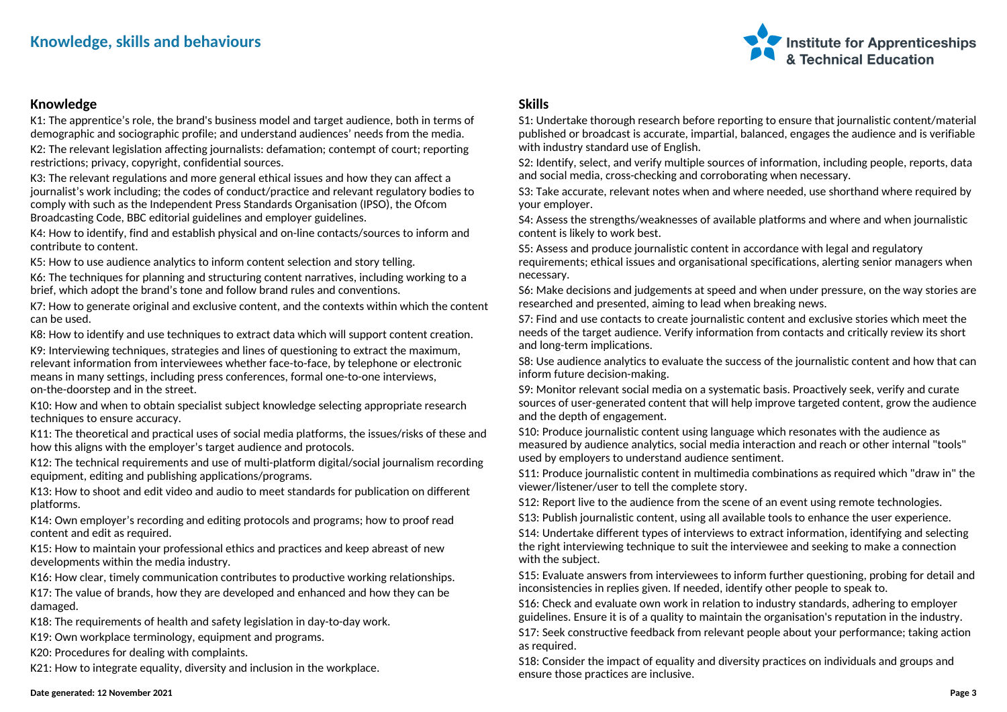## **Knowledge, skills and behaviours**



## **Knowledge**

K1: The apprentice's role, the brand's business model and target audience, both in terms of demographic and sociographic profile; and understand audiences' needs from the media. K2: The relevant legislation affecting journalists: defamation; contempt of court; reporting restrictions; privacy, copyright, confidential sources.

K3: The relevant regulations and more general ethical issues and how they can affect a journalist's work including; the codes of conduct/practice and relevant regulatory bodies to comply with such as the Independent Press Standards Organisation (IPSO), the Ofcom Broadcasting Code, BBC editorial guidelines and employer guidelines.

K4: How to identify, find and establish physical and on-line contacts/sources to inform and contribute to content.

K5: How to use audience analytics to inform content selection and story telling.

K6: The techniques for planning and structuring content narratives, including working to a brief, which adopt the brand's tone and follow brand rules and conventions.

K7: How to generate original and exclusive content, and the contexts within which the content can be used.

K8: How to identify and use techniques to extract data which will support content creation.

K9: Interviewing techniques, strategies and lines of questioning to extract the maximum, relevant information from interviewees whether face-to-face, by telephone or electronic means in many settings, including press conferences, formal one-to-one interviews, on-the-doorstep and in the street.

K10: How and when to obtain specialist subject knowledge selecting appropriate research techniques to ensure accuracy.

K11: The theoretical and practical uses of social media platforms, the issues/risks of these and how this aligns with the employer's target audience and protocols.

K12: The technical requirements and use of multi-platform digital/social journalism recording equipment, editing and publishing applications/programs.

K13: How to shoot and edit video and audio to meet standards for publication on different platforms.

K14: Own employer's recording and editing protocols and programs; how to proof read content and edit as required.

K15: How to maintain your professional ethics and practices and keep abreast of new developments within the media industry.

K16: How clear, timely communication contributes to productive working relationships.

K17: The value of brands, how they are developed and enhanced and how they can be damaged.

K18: The requirements of health and safety legislation in day-to-day work.

K19: Own workplace terminology, equipment and programs.

K20: Procedures for dealing with complaints.

K21: How to integrate equality, diversity and inclusion in the workplace.

### **Skills**

S1: Undertake thorough research before reporting to ensure that journalistic content/material published or broadcast is accurate, impartial, balanced, engages the audience and is verifiable with industry standard use of English.

S2: Identify, select, and verify multiple sources of information, including people, reports, data and social media, cross-checking and corroborating when necessary.

S3: Take accurate, relevant notes when and where needed, use shorthand where required by your employer.

S4: Assess the strengths/weaknesses of available platforms and where and when journalistic content is likely to work best.

S5: Assess and produce journalistic content in accordance with legal and regulatory requirements; ethical issues and organisational specifications, alerting senior managers when necessary.

S6: Make decisions and judgements at speed and when under pressure, on the way stories are researched and presented, aiming to lead when breaking news.

S7: Find and use contacts to create journalistic content and exclusive stories which meet the needs of the target audience. Verify information from contacts and critically review its short and long-term implications.

S8: Use audience analytics to evaluate the success of the journalistic content and how that can inform future decision-making.

S9: Monitor relevant social media on a systematic basis. Proactively seek, verify and curate sources of user-generated content that will help improve targeted content, grow the audience and the depth of engagement.

S10: Produce journalistic content using language which resonates with the audience as measured by audience analytics, social media interaction and reach or other internal "tools" used by employers to understand audience sentiment.

S11: Produce journalistic content in multimedia combinations as required which "draw in" the viewer/listener/user to tell the complete story.

S12: Report live to the audience from the scene of an event using remote technologies.

S13: Publish journalistic content, using all available tools to enhance the user experience.

S14: Undertake different types of interviews to extract information, identifying and selecting the right interviewing technique to suit the interviewee and seeking to make a connection with the subject.

S15: Evaluate answers from interviewees to inform further questioning, probing for detail and inconsistencies in replies given. If needed, identify other people to speak to.

S16: Check and evaluate own work in relation to industry standards, adhering to employer guidelines. Ensure it is of a quality to maintain the organisation's reputation in the industry. S17: Seek constructive feedback from relevant people about your performance; taking action as required.

S18: Consider the impact of equality and diversity practices on individuals and groups and ensure those practices are inclusive.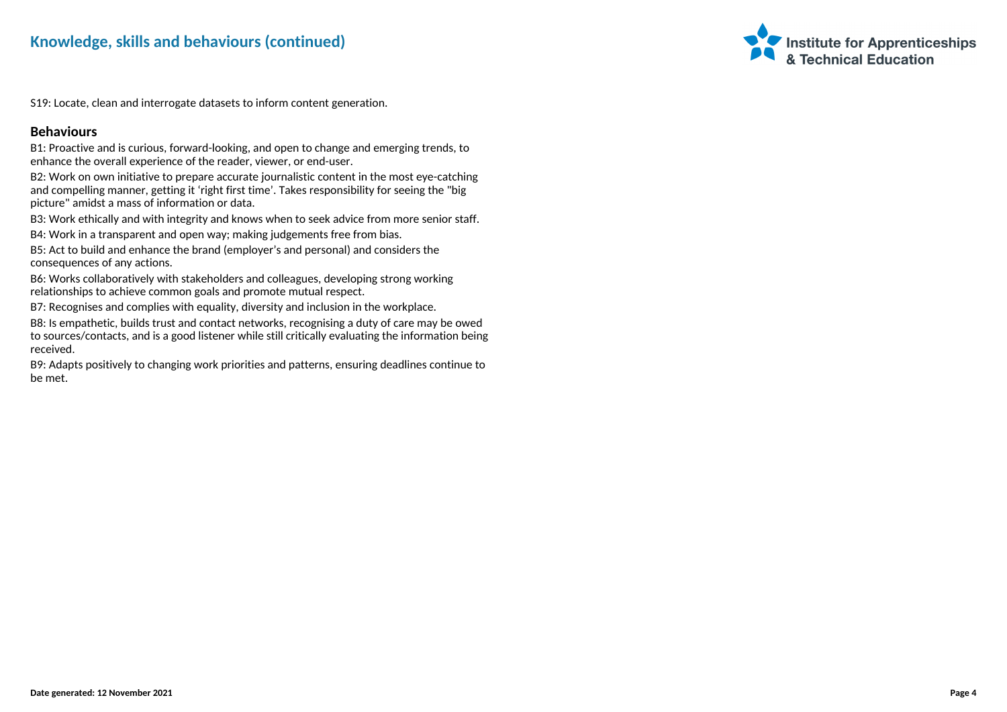

S19: Locate, clean and interrogate datasets to inform content generation.

### **Behaviours**

B1: Proactive and is curious, forward-looking, and open to change and emerging trends, to enhance the overall experience of the reader, viewer, or end-user.

B2: Work on own initiative to prepare accurate journalistic content in the most eye-catching and compelling manner, getting it 'right first time'. Takes responsibility for seeing the "big picture" amidst a mass of information or data.

B3: Work ethically and with integrity and knows when to seek advice from more senior staff.

B4: Work in a transparent and open way; making judgements free from bias.

B5: Act to build and enhance the brand (employer's and personal) and considers the consequences of any actions.

B6: Works collaboratively with stakeholders and colleagues, developing strong working relationships to achieve common goals and promote mutual respect.

B7: Recognises and complies with equality, diversity and inclusion in the workplace.

B8: Is empathetic, builds trust and contact networks, recognising a duty of care may be owed to sources/contacts, and is a good listener while still critically evaluating the information being received.

B9: Adapts positively to changing work priorities and patterns, ensuring deadlines continue to be met.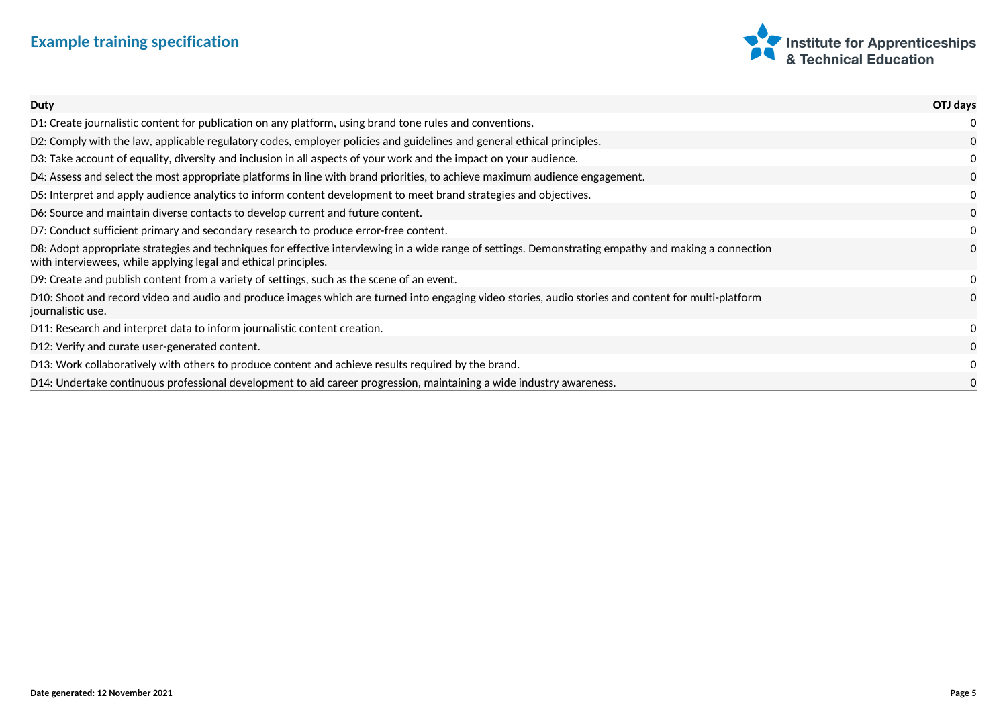# **Example training specification**



| Duty                                                                                                                                                                                                                     | OTJ days     |
|--------------------------------------------------------------------------------------------------------------------------------------------------------------------------------------------------------------------------|--------------|
| D1: Create journalistic content for publication on any platform, using brand tone rules and conventions.                                                                                                                 | 0            |
| D2: Comply with the law, applicable regulatory codes, employer policies and guidelines and general ethical principles.                                                                                                   | $\Omega$     |
| D3: Take account of equality, diversity and inclusion in all aspects of your work and the impact on your audience.                                                                                                       | 0            |
| D4: Assess and select the most appropriate platforms in line with brand priorities, to achieve maximum audience engagement.                                                                                              | $\Omega$     |
| D5: Interpret and apply audience analytics to inform content development to meet brand strategies and objectives.                                                                                                        | 0            |
| D6: Source and maintain diverse contacts to develop current and future content.                                                                                                                                          | $\Omega$     |
| D7: Conduct sufficient primary and secondary research to produce error-free content.                                                                                                                                     | 0            |
| D8: Adopt appropriate strategies and techniques for effective interviewing in a wide range of settings. Demonstrating empathy and making a connection<br>with interviewees, while applying legal and ethical principles. | $\mathbf{0}$ |
| D9: Create and publish content from a variety of settings, such as the scene of an event.                                                                                                                                | 0            |
| D10: Shoot and record video and audio and produce images which are turned into engaging video stories, audio stories and content for multi-platform<br>journalistic use.                                                 | $\mathbf{0}$ |
| D11: Research and interpret data to inform journalistic content creation.                                                                                                                                                | 0            |
| D12: Verify and curate user-generated content.                                                                                                                                                                           | $\mathbf{0}$ |
| D13: Work collaboratively with others to produce content and achieve results required by the brand.                                                                                                                      | 0            |
| D14: Undertake continuous professional development to aid career progression, maintaining a wide industry awareness.                                                                                                     | 0            |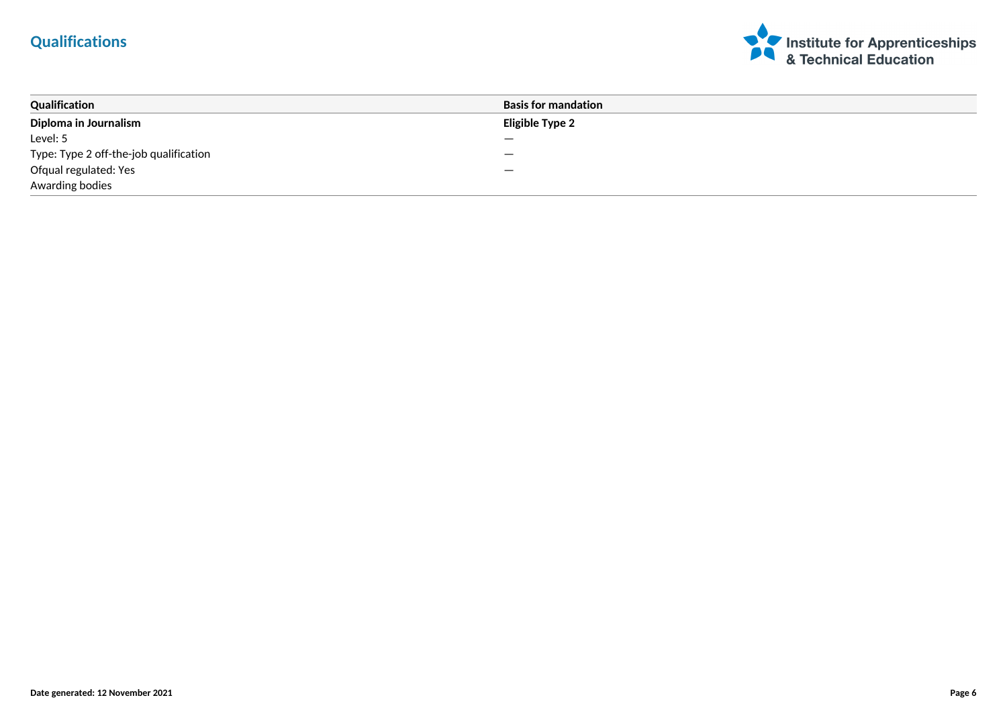# **Qualifications**



| Qualification                          | <b>Basis for mandation</b> |
|----------------------------------------|----------------------------|
| Diploma in Journalism                  | <b>Eligible Type 2</b>     |
| Level: 5                               |                            |
| Type: Type 2 off-the-job qualification |                            |
| Ofqual regulated: Yes                  | —                          |
| Awarding bodies                        |                            |